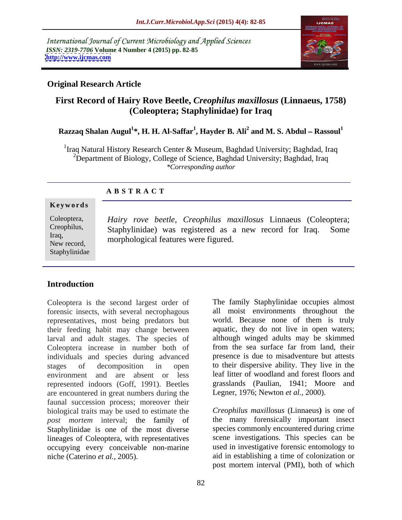International Journal of Current Microbiology and Applied Sciences *ISSN: 2319-7706* **Volume 4 Number 4 (2015) pp. 82-85 <http://www.ijcmas.com>**



# **Original Research Article**

# **First Record of Hairy Rove Beetle,** *Creophilus maxillosus* **(Linnaeus, 1758) (Coleoptera; Staphylinidae) for Iraq**

# <code>Razzaq Shalan Augul $^1*$ , H. H. Al-Saffar $^1$ , Hayder B. Ali $^2$  and M. S. Abdul – <code>Rassoul</code><sup>1</sup></code>

<sup>1</sup>Iraq Natural History Research Center & Museum, Baghdad University; Baghdad, Iraq <sup>2</sup>Department of Biology, College of Science, Baghdad University; Baghdad, Iraq *\*Corresponding author*

### **A B S T R A C T**

#### **Ke ywo rds**

Staphylinidae

*Hairy rove beetle, Creophilus maxillosus* Linnaeus (Coleoptera; Coleoptera, Staphylinidae) was registered as a new record for Iraq. Some Creophilus, Iraq,<br>
morphological features were figured. New record, the interpretation relatives were rigured.

# **Introduction**

Coleoptera is the second largest order of forensic insects, with several necrophagous representatives, most being predators but their feeding habit may change between larval and adult stages. The species of although winged adults may be skimmed Coleontera increase in number both of from the sea surface far from land, their Coleoptera increase in number both of individuals and species during advanced stages of decomposition in open to their dispersive ability. They live in the environment and are absent or less leaf litter of woodland and forest floors and represented indoors (Goff, 1991). Beetles are encountered in great numbers during the faunal succession process; moreover their biological traits may be used to estimate the *post mortem* interval; the family of Staphylinidae is one of the most diverse lineages of Coleoptera, with representatives occupying every conceivable non-marine niche (Caterino *et al.,* 2005). aid in establishing a time of colonization or

The family Staphylinidae occupies almost all moist environments throughout the world. Because none of them is truly aquatic, they do not live in open waters; although winged adults may be skimmed from the sea surface far from land, their presence is due to misadventure but attests grasslands (Paulian, 1941; Moore and Legner, 1976; Newton *et al.,* 2000).

*Creophilus maxillosus* (Linnaeus**)** is one of the many forensically important insect species commonly encountered during crime scene investigations. This species can be used in investigative forensic entomology to post mortem interval (PMI), both of which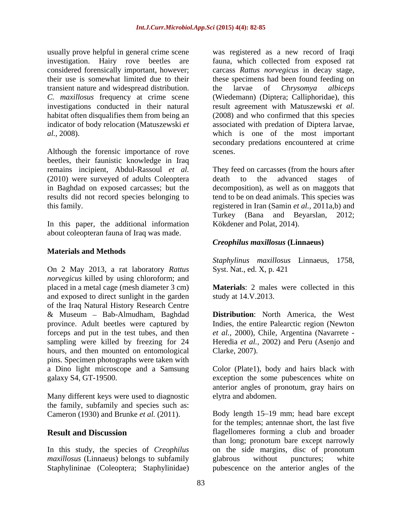usually prove helpful in general crime scene investigation. Hairy rove beetles are transient nature and widespread distribution. The larvae of *Chrysomya albiceps* 

beetles, their faunistic knowledge in Iraq remains incipient, Abdul-Rassoul *et al.* They feed on carcasses (from the hours after (2010) were surveyed of adults Coleoptera death to the advanced stages of in Baghdad on exposed carcasses; but the decomposition), as well as on maggots that results did not record species belonging to tend to be on dead animals. This species was

about coleopteran fauna of Iraq was made.

### **Materials and Methods**

On 2 May 2013, a rat laboratory *Rattus norvegicus* killed by using chloroform; and placed in a metal cage (mesh diameter 3 cm) **Materials**: 2 males were collected in this and exposed to direct sunlight in the garden of the Iraq Natural History Research Centre hours, and then mounted on entomological Clarke, 2007). pins. Specimen photographs were taken with

the family, subfamily and species such as: Cameron (1930) and Brunke *et al.* (2011).

*maxillosus* (Linnaeus) belongs to subfamily elabrous without punctures; white

considered forensically important, however; carcass *Rattus norvegicus* in decay stage, their use is somewhat limited due to their these specimens had been found feeding on *C. maxillosus* frequency at crime scene (Wiedemann) (Diptera; Calliphoridae), this investigations conducted in their natural result agreement with Matuszewski et al. habitat often disqualifies them from being an (2008) and who confirmed that this species indicator of body relocation (Matuszewski *et*  associated with predation of Diptera larvae, *al.*, 2008). Which is one of the most important secondary predations encountered at crime Although the forensic importance of rove scenes. was registered as a new record of Iraqi fauna, which collected from exposed rat the larvae of *Chrysomya albiceps* which is one of the most important secondary predations encountered at crime scenes.

this family.<br>In this paper, the additional information<br>In this paper, the additional information<br>In this paper, the additional information<br>Kökdener and Polat, 2014). death to the advanced stages of registered in Iran (Samin *et al.,* 2011a,b) and Turkey (Bana and Beyarslan, 2012; Kökdener and Polat, 2014).

# *Creophilus maxillosus* **(Linnaeus)**

*Staphylinus maxillosus* Linnaeus, 1758, Syst. Nat., ed. X, p. 421

study at 14.V.2013.

& Museum Bab-Almudham, Baghdad **Distribution**: North America, the West province. Adult beetles were captured by Indies, the entire Palearctic region (Newton forceps and put in the test tubes, and then *etal.,* 2000), Chile, Argentina (Navarrete sampling were killed by freezing for 24 Heredia *et al.,* 2002) and Peru (Asenjo and Clarke, 2007).

a Dino light microscope and a Samsung Color (Plate1), body and hairs black with galaxy S4, GT-19500. exception the some pubescences white on<br>anterior angles of pronotum, gray hairs on<br>Many different keys were used to diagnostic elytra and abdomen. exception the some pubescences white on anterior angles of pronotum, gray hairs on elytra and abdomen.

**Result and Discussion** flagellomeres forming a club and broader In this study, the species of *Creophilus*  on the side margins, disc of pronotum Staphylininae (Coleoptera; Staphylinidae) pubescence on the anterior angles of theBody length 15–19 mm; head bare except for the temples; antennae short, the last five than long; pronotum bare except narrowly glabrous without punctures; white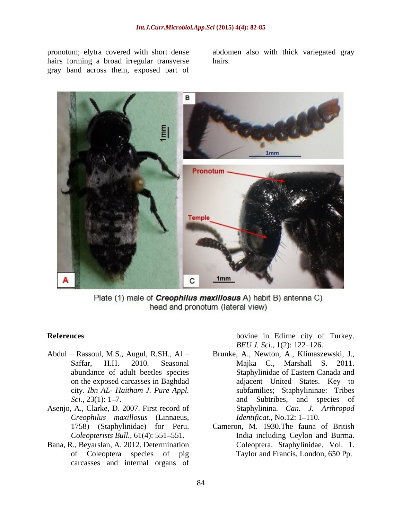hairs forming a broad irregular transverse hairs. gray band across them, exposed part of

pronotum; elytra covered with short dense abdomen also with thick variegated gray hairs.



Plate (1) male of *Creophilus maxillosus* A) habit B) antenna C) head and pronotum (lateral view)

- 
- Asenjo, A., Clarke, D. 2007. First record of *Creophilus maxillosus* (Linnaeus,
- Bana, R., Beyarslan, A. 2012. Determination of Coleoptera species of pig carcasses and internal organs of

**References** bovine in Edirne city of Turkey. *BEU J. Sci.*, 1(2): 122–126.

- Abdul Rassoul, M.S., Augul, R.SH., Al Brunke, A., Newton, A., Klimaszewski, J., Saffar, H.H. 2010. Seasonal Majka C., Marshall S. 2011. abundance of adult beetles species Staphylinidae of Eastern Canada and on the exposed carcasses in Baghdad adjacent United States. Key to city. *Ibn AL- Haitham J. Pure Appl. Sci.*, 23(1): 1–7. and Subtribes, and species of subfamilies; Staphylininae: Tribes Staphylinina. *Can. J. Arthropod Identificat.,* No.12: 1–110.
	- 1758) (Staphylinidae) for Peru. Cameron, M. 1930.The fauna of British Coleopterists Bull., 61(4): 551–551. India including Ceylon and Burma. Coleoptera. Staphylinidae. Vol. 1. Taylor and Francis, London, 650 Pp.